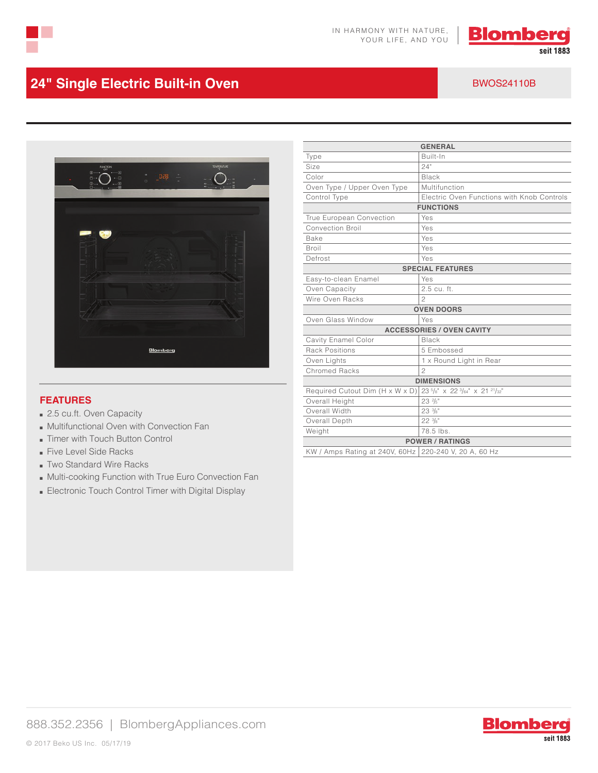



# **24" Single Electric Built-in Oven** BWOS24110B



#### **FEATURES**

- 2.5 cu.ft. Oven Capacity
- Multifunctional Oven with Convection Fan
- Timer with Touch Button Control
- Five Level Side Racks
- Two Standard Wire Racks
- Multi-cooking Function with True Euro Convection Fan
- Electronic Touch Control Timer with Digital Display

| <b>GENERAL</b>                   |                                            |
|----------------------------------|--------------------------------------------|
|                                  |                                            |
| Type                             | Built-In                                   |
| Size                             | 24"                                        |
| Color                            | Black                                      |
| Oven Type / Upper Oven Type      | Multifunction                              |
| Control Type                     | Electric Oven Functions with Knob Controls |
| <b>FUNCTIONS</b>                 |                                            |
| True European Convection         | Yes                                        |
| <b>Convection Broil</b>          | Yes                                        |
| Bake                             | Yes                                        |
| Broil                            | Yes                                        |
| Defrost                          | Yes                                        |
| <b>SPECIAL FEATURES</b>          |                                            |
| Easy-to-clean Enamel             | Yes                                        |
| Oven Capacity                    | 2.5 cu. ft.                                |
| Wire Oven Racks                  | 2                                          |
| <b>OVEN DOORS</b>                |                                            |
| Oven Glass Window                | Yes                                        |
| <b>ACCESSORIES / OVEN CAVITY</b> |                                            |
| Cavity Enamel Color              | Black                                      |
| <b>Rack Positions</b>            | 5 Embossed                                 |
| Oven Lights                      | 1 x Round Light in Rear                    |
| Chromed Racks                    | $\mathfrak{D}$                             |
| <b>DIMENSIONS</b>                |                                            |
| Required Cutout Dim (H x W x D)  | $23^{5}/s''$ x 22 $3/64''$ x 21 $21/32''$  |
| Overall Height                   | $23$ $\frac{2}{5}$ "                       |
| Overall Width                    | $23\frac{3}{8}$ "                          |
| Overall Depth                    | $22 \frac{3}{8}$ "                         |
| Weight                           | 78.5 lbs.                                  |
| <b>POWER / RATINGS</b>           |                                            |
| KW / Amps Rating at 240V, 60Hz   | 220-240 V, 20 A, 60 Hz                     |
|                                  |                                            |